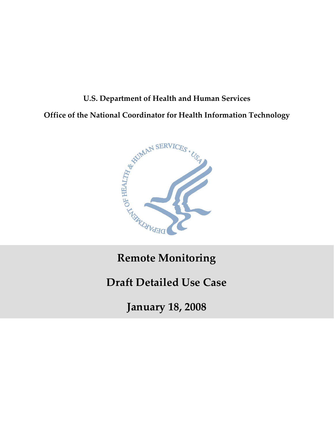# **U.S. Department of Health and Human Services Office of the National Coordinator for Health Information Technology**



# **Remote Monitoring**

# **Draft Detailed Use Case**

**January 18, 2008**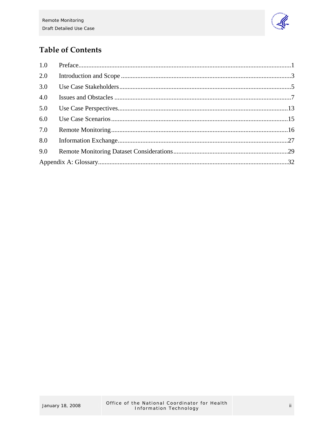

# **Table of Contents**

| 1.0 |  |
|-----|--|
| 2.0 |  |
| 3.0 |  |
| 4.0 |  |
| 5.0 |  |
| 6.0 |  |
| 7.0 |  |
| 8.0 |  |
| 9.0 |  |
|     |  |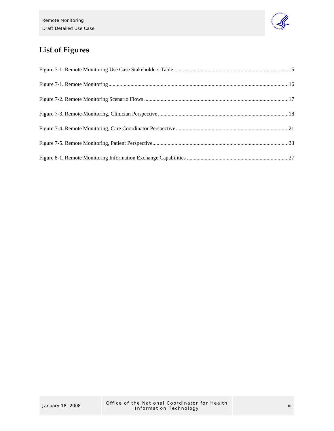

# **List of Figures**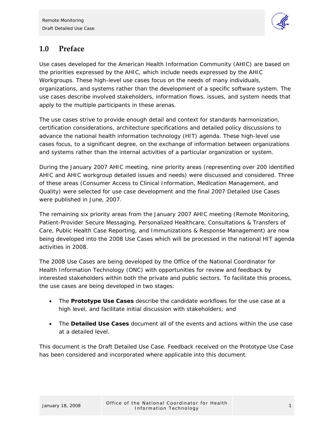

### <span id="page-3-0"></span>**1.0 Preface**

Use cases developed for the American Health Information Community (AHIC) are based on the priorities expressed by the AHIC, which include needs expressed by the AHIC Workgroups. These high-level use cases focus on the needs of many individuals, organizations, and systems rather than the development of a specific software system. The use cases describe involved stakeholders, information flows, issues, and system needs that apply to the multiple participants in these arenas.

The use cases strive to provide enough detail and context for standards harmonization, certification considerations, architecture specifications and detailed policy discussions to advance the national health information technology (HIT) agenda. These high-level use cases focus, to a significant degree, on the exchange of information between organizations and systems rather than the internal activities of a particular organization or system.

During the January 2007 AHIC meeting, nine priority areas (representing over 200 identified AHIC and AHIC workgroup detailed issues and needs) were discussed and considered. Three of these areas (Consumer Access to Clinical Information, Medication Management, and Quality) were selected for use case development and the final 2007 Detailed Use Cases were published in June, 2007.

The remaining six priority areas from the January 2007 AHIC meeting (Remote Monitoring, Patient-Provider Secure Messaging, Personalized Healthcare, Consultations & Transfers of Care, Public Health Case Reporting, and Immunizations & Response Management) are now being developed into the 2008 Use Cases which will be processed in the national HIT agenda activities in 2008.

The 2008 Use Cases are being developed by the Office of the National Coordinator for Health Information Technology (ONC) with opportunities for review and feedback by interested stakeholders within both the private and public sectors. To facilitate this process, the use cases are being developed in two stages:

- The **Prototype Use Cases** describe the candidate workflows for the use case at a high level, and facilitate initial discussion with stakeholders; and
- The **Detailed Use Cases** document all of the events and actions within the use case at a detailed level.

This document is the Draft Detailed Use Case. Feedback received on the Prototype Use Case has been considered and incorporated where applicable into this document.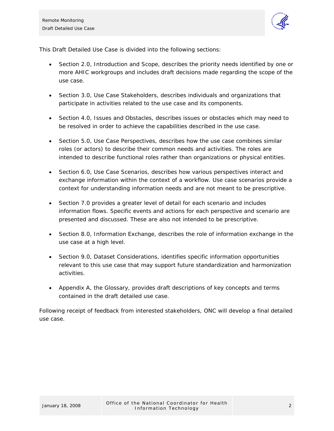

This Draft Detailed Use Case is divided into the following sections:

- Section 2.0, Introduction and Scope, describes the priority needs identified by one or more AHIC workgroups and includes draft decisions made regarding the scope of the use case.
- Section 3.0, Use Case Stakeholders, describes individuals and organizations that participate in activities related to the use case and its components.
- Section 4.0, Issues and Obstacles, describes issues or obstacles which may need to be resolved in order to achieve the capabilities described in the use case.
- Section 5.0, Use Case Perspectives, describes how the use case combines similar roles (or actors) to describe their common needs and activities. The roles are intended to describe functional roles rather than organizations or physical entities.
- Section 6.0, Use Case Scenarios, describes how various perspectives interact and exchange information within the context of a workflow. Use case scenarios provide a context for understanding information needs and are not meant to be prescriptive.
- Section 7.0 provides a greater level of detail for each scenario and includes information flows. Specific events and actions for each perspective and scenario are presented and discussed. These are also not intended to be prescriptive.
- Section 8.0, Information Exchange, describes the role of information exchange in the use case at a high level.
- Section 9.0, Dataset Considerations, identifies specific information opportunities relevant to this use case that may support future standardization and harmonization activities.
- Appendix A, the Glossary, provides draft descriptions of key concepts and terms contained in the draft detailed use case.

Following receipt of feedback from interested stakeholders, ONC will develop a final detailed use case.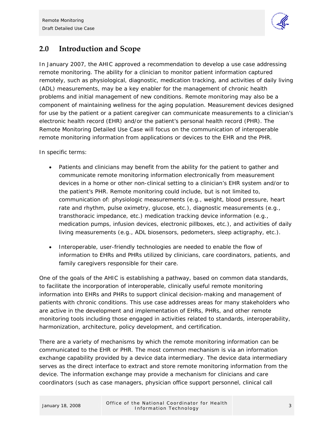

## <span id="page-5-0"></span>**2.0 Introduction and Scope**

In January 2007, the AHIC approved a recommendation to develop a use case addressing remote monitoring. The ability for a clinician to monitor patient information captured remotely, such as physiological, diagnostic, medication tracking, and activities of daily living (ADL) measurements, may be a key enabler for the management of chronic health problems and initial management of new conditions. Remote monitoring may also be a component of maintaining wellness for the aging population. Measurement devices designed for use by the patient or a patient caregiver can communicate measurements to a clinician's electronic health record (EHR) and/or the patient's personal health record (PHR). The Remote Monitoring Detailed Use Case will focus on the communication of interoperable remote monitoring information from applications or devices to the EHR and the PHR.

In specific terms:

- Patients and clinicians may benefit from the ability for the patient to gather and communicate remote monitoring information electronically from measurement devices in a home or other non-clinical setting to a clinician's EHR system and/or to the patient's PHR. Remote monitoring could include, but is not limited to, communication of: physiologic measurements (e.g., weight, blood pressure, heart rate and rhythm, pulse oximetry, glucose, etc.), diagnostic measurements (e.g., transthoracic impedance, etc.) medication tracking device information (e.g., medication pumps, infusion devices, electronic pillboxes, etc.), and activities of daily living measurements (e.g., ADL biosensors, pedometers, sleep actigraphy, etc.).
- Interoperable, user-friendly technologies are needed to enable the flow of information to EHRs and PHRs utilized by clinicians, care coordinators, patients, and family caregivers responsible for their care.

One of the goals of the AHIC is establishing a pathway, based on common data standards, to facilitate the incorporation of interoperable, clinically useful remote monitoring information into EHRs and PHRs to support clinical decision-making and management of patients with chronic conditions. This use case addresses areas for many stakeholders who are active in the development and implementation of EHRs, PHRs, and other remote monitoring tools including those engaged in activities related to standards, interoperability, harmonization, architecture, policy development, and certification.

There are a variety of mechanisms by which the remote monitoring information can be communicated to the EHR or PHR. The most common mechanism is via an information exchange capability provided by a device data intermediary. The device data intermediary serves as the direct interface to extract and store remote monitoring information from the device. The information exchange may provide a mechanism for clinicians and care coordinators (such as case managers, physician office support personnel, clinical call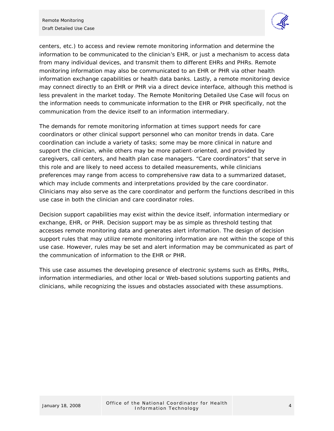

centers, etc.) to access and review remote monitoring information and determine the information to be communicated to the clinician's EHR, or just a mechanism to access data from many individual devices, and transmit them to different EHRs and PHRs. Remote monitoring information may also be communicated to an EHR or PHR via other health information exchange capabilities or health data banks. Lastly, a remote monitoring device may connect directly to an EHR or PHR via a direct device interface, although this method is less prevalent in the market today. The Remote Monitoring Detailed Use Case will focus on the information needs to communicate information to the EHR or PHR specifically, not the communication from the device itself to an information intermediary.

The demands for remote monitoring information at times support needs for care coordinators or other clinical support personnel who can monitor trends in data. Care coordination can include a variety of tasks; some may be more clinical in nature and support the clinician, while others may be more patient-oriented, and provided by caregivers, call centers, and health plan case managers. "Care coordinators" that serve in this role and are likely to need access to detailed measurements, while clinicians preferences may range from access to comprehensive raw data to a summarized dataset, which may include comments and interpretations provided by the care coordinator. Clinicians may also serve as the care coordinator and perform the functions described in this use case in both the clinician and care coordinator roles.

Decision support capabilities may exist within the device itself, information intermediary or exchange, EHR, or PHR. Decision support may be as simple as threshold testing that accesses remote monitoring data and generates alert information. The design of decision support rules that may utilize remote monitoring information are not within the scope of this use case. However, rules may be set and alert information may be communicated as part of the communication of information to the EHR or PHR.

This use case assumes the developing presence of electronic systems such as EHRs, PHRs, information intermediaries, and other local or Web-based solutions supporting patients and clinicians, while recognizing the issues and obstacles associated with these assumptions.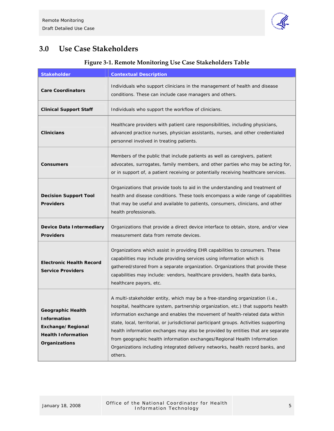

# <span id="page-7-0"></span>**3.0 Use Case Stakeholders**

| <b>Stakeholder</b>                                                                                         | <b>Contextual Description</b>                                                                                                                                                                                                                                                                                                                                                                                                                                                                                                                                                                          |
|------------------------------------------------------------------------------------------------------------|--------------------------------------------------------------------------------------------------------------------------------------------------------------------------------------------------------------------------------------------------------------------------------------------------------------------------------------------------------------------------------------------------------------------------------------------------------------------------------------------------------------------------------------------------------------------------------------------------------|
| <b>Care Coordinators</b>                                                                                   | Individuals who support clinicians in the management of health and disease<br>conditions. These can include case managers and others.                                                                                                                                                                                                                                                                                                                                                                                                                                                                  |
| <b>Clinical Support Staff</b>                                                                              | Individuals who support the workflow of clinicians.                                                                                                                                                                                                                                                                                                                                                                                                                                                                                                                                                    |
| <b>Clinicians</b>                                                                                          | Healthcare providers with patient care responsibilities, including physicians,<br>advanced practice nurses, physician assistants, nurses, and other credentialed<br>personnel involved in treating patients.                                                                                                                                                                                                                                                                                                                                                                                           |
| <b>Consumers</b>                                                                                           | Members of the public that include patients as well as caregivers, patient<br>advocates, surrogates, family members, and other parties who may be acting for,<br>or in support of, a patient receiving or potentially receiving healthcare services.                                                                                                                                                                                                                                                                                                                                                   |
| <b>Decision Support Tool</b><br><b>Providers</b>                                                           | Organizations that provide tools to aid in the understanding and treatment of<br>health and disease conditions. These tools encompass a wide range of capabilities<br>that may be useful and available to patients, consumers, clinicians, and other<br>health professionals.                                                                                                                                                                                                                                                                                                                          |
| <b>Device Data Intermediary</b><br><b>Providers</b>                                                        | Organizations that provide a direct device interface to obtain, store, and/or view<br>measurement data from remote devices.                                                                                                                                                                                                                                                                                                                                                                                                                                                                            |
| <b>Electronic Health Record</b><br><b>Service Providers</b>                                                | Organizations which assist in providing EHR capabilities to consumers. These<br>capabilities may include providing services using information which is<br>gathered/stored from a separate organization. Organizations that provide these<br>capabilities may include: vendors, healthcare providers, health data banks,<br>healthcare payors, etc.                                                                                                                                                                                                                                                     |
| Geographic Health<br><b>Information</b><br>Exchange/Regional<br><b>Health Information</b><br>Organizations | A multi-stakeholder entity, which may be a free-standing organization (i.e.,<br>hospital, healthcare system, partnership organization, etc.) that supports health<br>information exchange and enables the movement of health-related data within<br>state, local, territorial, or jurisdictional participant groups. Activities supporting<br>health information exchanges may also be provided by entities that are separate<br>from geographic health information exchanges/Regional Health Information<br>Organizations including integrated delivery networks, health record banks, and<br>others. |

### **Figure 3‐1. Remote Monitoring Use Case Stakeholders Table**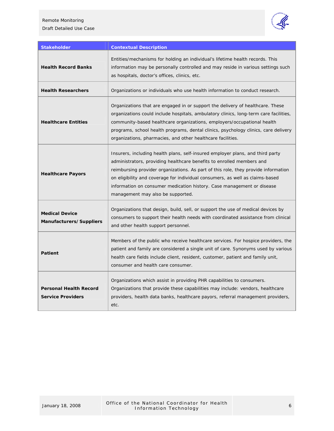

| <b>Stakeholder</b>                                        | <b>Contextual Description</b>                                                                                                                                                                                                                                                                                                                                                                                                                 |
|-----------------------------------------------------------|-----------------------------------------------------------------------------------------------------------------------------------------------------------------------------------------------------------------------------------------------------------------------------------------------------------------------------------------------------------------------------------------------------------------------------------------------|
| <b>Health Record Banks</b>                                | Entities/mechanisms for holding an individual's lifetime health records. This<br>information may be personally controlled and may reside in various settings such<br>as hospitals, doctor's offices, clinics, etc.                                                                                                                                                                                                                            |
| <b>Health Researchers</b>                                 | Organizations or individuals who use health information to conduct research.                                                                                                                                                                                                                                                                                                                                                                  |
| <b>Healthcare Entities</b>                                | Organizations that are engaged in or support the delivery of healthcare. These<br>organizations could include hospitals, ambulatory clinics, long-term care facilities,<br>community-based healthcare organizations, employers/occupational health<br>programs, school health programs, dental clinics, psychology clinics, care delivery<br>organizations, pharmacies, and other healthcare facilities.                                      |
| <b>Healthcare Payors</b>                                  | Insurers, including health plans, self-insured employer plans, and third party<br>administrators, providing healthcare benefits to enrolled members and<br>reimbursing provider organizations. As part of this role, they provide information<br>on eligibility and coverage for individual consumers, as well as claims-based<br>information on consumer medication history. Case management or disease<br>management may also be supported. |
| <b>Medical Device</b><br>Manufacturers/Suppliers          | Organizations that design, build, sell, or support the use of medical devices by<br>consumers to support their health needs with coordinated assistance from clinical<br>and other health support personnel.                                                                                                                                                                                                                                  |
| Patient                                                   | Members of the public who receive healthcare services. For hospice providers, the<br>patient and family are considered a single unit of care. Synonyms used by various<br>health care fields include client, resident, customer, patient and family unit,<br>consumer and health care consumer.                                                                                                                                               |
| <b>Personal Health Record</b><br><b>Service Providers</b> | Organizations which assist in providing PHR capabilities to consumers.<br>Organizations that provide these capabilities may include: vendors, healthcare<br>providers, health data banks, healthcare payors, referral management providers,<br>etc.                                                                                                                                                                                           |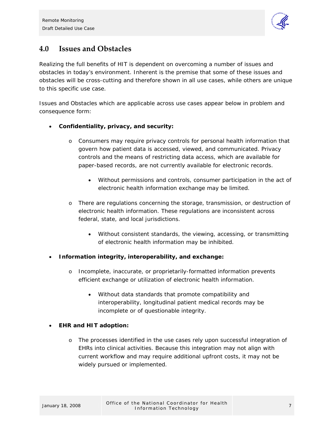

## <span id="page-9-0"></span>**4.0 Issues and Obstacles**

Realizing the full benefits of HIT is dependent on overcoming a number of issues and obstacles in today's environment. Inherent is the premise that some of these issues and obstacles will be cross-cutting and therefore shown in all use cases, while others are unique to this specific use case.

Issues and Obstacles which are applicable across use cases appear below in problem and consequence form:

- **Confidentiality, privacy, and security:** 
	- o Consumers may require privacy controls for personal health information that govern how patient data is accessed, viewed, and communicated. Privacy controls and the means of restricting data access, which are available for paper-based records, are not currently available for electronic records.
		- Without permissions and controls, consumer participation in the act of electronic health information exchange may be limited.
	- o There are regulations concerning the storage, transmission, or destruction of electronic health information. These regulations are inconsistent across federal, state, and local jurisdictions.
		- Without consistent standards, the viewing, accessing, or transmitting of electronic health information may be inhibited.
- **Information integrity, interoperability, and exchange:** 
	- o Incomplete, inaccurate, or proprietarily-formatted information prevents efficient exchange or utilization of electronic health information.
		- Without data standards that promote compatibility and interoperability, longitudinal patient medical records may be incomplete or of questionable integrity.

### • **EHR and HIT adoption:**

o The processes identified in the use cases rely upon successful integration of EHRs into clinical activities. Because this integration may not align with current workflow and may require additional upfront costs, it may not be widely pursued or implemented.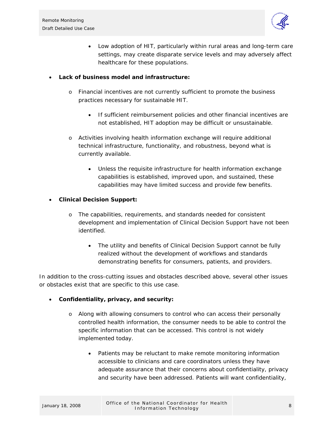

• Low adoption of HIT, particularly within rural areas and long-term care settings, may create disparate service levels and may adversely affect healthcare for these populations.

#### • **Lack of business model and infrastructure:**

- o Financial incentives are not currently sufficient to promote the business practices necessary for sustainable HIT.
	- If sufficient reimbursement policies and other financial incentives are not established, HIT adoption may be difficult or unsustainable.
- o Activities involving health information exchange will require additional technical infrastructure, functionality, and robustness, beyond what is currently available.
	- Unless the requisite infrastructure for health information exchange capabilities is established, improved upon, and sustained, these capabilities may have limited success and provide few benefits.

#### • **Clinical Decision Support:**

- o The capabilities, requirements, and standards needed for consistent development and implementation of Clinical Decision Support have not been identified.
	- The utility and benefits of Clinical Decision Support cannot be fully realized without the development of workflows and standards demonstrating benefits for consumers, patients, and providers.

In addition to the cross-cutting issues and obstacles described above, several other issues or obstacles exist that are specific to this use case.

### • **Confidentiality, privacy, and security:**

- o Along with allowing consumers to control who can access their personally controlled health information, the consumer needs to be able to control the specific information that can be accessed. This control is not widely implemented today.
	- Patients may be reluctant to make remote monitoring information accessible to clinicians and care coordinators unless they have adequate assurance that their concerns about confidentiality, privacy and security have been addressed. Patients will want confidentiality,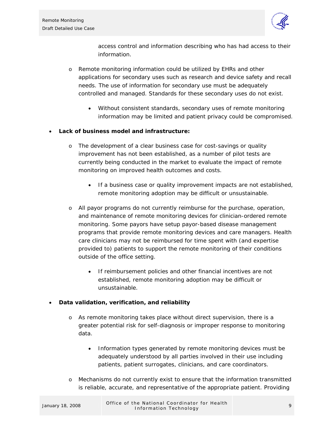Remote Monitoring Draft Detailed Use Case



access control and information describing who has had access to their information.

- o Remote monitoring information could be utilized by EHRs and other applications for secondary uses such as research and device safety and recall needs. The use of information for secondary use must be adequately controlled and managed. Standards for these secondary uses do not exist.
	- Without consistent standards, secondary uses of remote monitoring information may be limited and patient privacy could be compromised.
- **Lack of business model and infrastructure:** 
	- o The development of a clear business case for cost-savings or quality improvement has not been established, as a number of pilot tests are currently being conducted in the market to evaluate the impact of remote monitoring on improved health outcomes and costs.
		- If a business case or quality improvement impacts are not established, remote monitoring adoption may be difficult or unsustainable.
	- o All payor programs do not currently reimburse for the purchase, operation, and maintenance of remote monitoring devices for clinician-ordered remote monitoring. Some payors have setup payor-based disease management programs that provide remote monitoring devices and care managers. Health care clinicians may not be reimbursed for time spent with (and expertise provided to) patients to support the remote monitoring of their conditions outside of the office setting.
		- If reimbursement policies and other financial incentives are not established, remote monitoring adoption may be difficult or unsustainable.

### • **Data validation, verification, and reliability**

- o As remote monitoring takes place without direct supervision, there is a greater potential risk for self-diagnosis or improper response to monitoring data.
	- Information types generated by remote monitoring devices must be adequately understood by all parties involved in their use including patients, patient surrogates, clinicians, and care coordinators.
- o Mechanisms do not currently exist to ensure that the information transmitted is reliable, accurate, and representative of the appropriate patient. Providing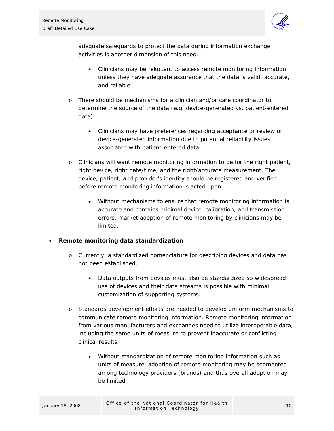

adequate safeguards to protect the data during information exchange activities is another dimension of this need.

- Clinicians may be reluctant to access remote monitoring information unless they have adequate assurance that the data is valid, accurate, and reliable.
- o There should be mechanisms for a clinician and/or care coordinator to determine the source of the data (e.g. device-generated vs. patient-entered data).
	- Clinicians may have preferences regarding acceptance or review of device-generated information due to potential reliability issues associated with patient-entered data.
- o Clinicians will want remote monitoring information to be for the right patient, right device, right date/time, and the right/accurate measurement. The device, patient, and provider's identity should be registered and verified before remote monitoring information is acted upon.
	- Without mechanisms to ensure that remote monitoring information is accurate and contains minimal device, calibration, and transmission errors, market adoption of remote monitoring by clinicians may be limited.

### • **Remote monitoring data standardization**

- o Currently, a standardized nomenclature for describing devices and data has not been established.
	- Data outputs from devices must also be standardized so widespread use of devices and their data streams is possible with minimal customization of supporting systems.
- o Standards development efforts are needed to develop uniform mechanisms to communicate remote monitoring information. Remote monitoring information from various manufacturers and exchanges need to utilize interoperable data, including the same units of measure to prevent inaccurate or conflicting clinical results.
	- Without standardization of remote monitoring information such as units of measure, adoption of remote monitoring may be segmented among technology providers (brands) and thus overall adoption may be limited.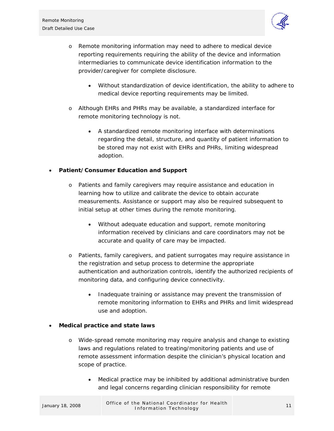

- o Remote monitoring information may need to adhere to medical device reporting requirements requiring the ability of the device and information intermediaries to communicate device identification information to the provider/caregiver for complete disclosure.
	- Without standardization of device identification, the ability to adhere to medical device reporting requirements may be limited.
- o Although EHRs and PHRs may be available, a standardized interface for remote monitoring technology is not.
	- A standardized remote monitoring interface with determinations regarding the detail, structure, and quantity of patient information to be stored may not exist with EHRs and PHRs, limiting widespread adoption.

### • **Patient/Consumer Education and Support**

- o Patients and family caregivers may require assistance and education in learning how to utilize and calibrate the device to obtain accurate measurements. Assistance or support may also be required subsequent to initial setup at other times during the remote monitoring.
	- Without adequate education and support, remote monitoring information received by clinicians and care coordinators may not be accurate and quality of care may be impacted.
- o Patients, family caregivers, and patient surrogates may require assistance in the registration and setup process to determine the appropriate authentication and authorization controls, identify the authorized recipients of monitoring data, and configuring device connectivity.
	- Inadequate training or assistance may prevent the transmission of remote monitoring information to EHRs and PHRs and limit widespread use and adoption.

### • **Medical practice and state laws**

- o Wide-spread remote monitoring may require analysis and change to existing laws and regulations related to treating/monitoring patients and use of remote assessment information despite the clinician's physical location and scope of practice.
	- Medical practice may be inhibited by additional administrative burden and legal concerns regarding clinician responsibility for remote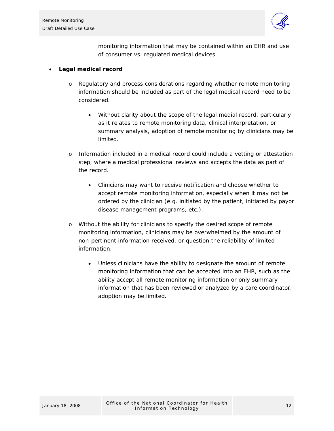

monitoring information that may be contained within an EHR and use of consumer vs. regulated medical devices.

#### • **Legal medical record**

- o Regulatory and process considerations regarding whether remote monitoring information should be included as part of the legal medical record need to be considered.
	- Without clarity about the scope of the legal medial record, particularly as it relates to remote monitoring data, clinical interpretation, or summary analysis, adoption of remote monitoring by clinicians may be limited.
- o Information included in a medical record could include a vetting or attestation step, where a medical professional reviews and accepts the data as part of the record.
	- Clinicians may want to receive notification and choose whether to accept remote monitoring information, especially when it may not be ordered by the clinician (e.g. initiated by the patient, initiated by payor disease management programs, etc.).
- o Without the ability for clinicians to specify the desired scope of remote monitoring information, clinicians may be overwhelmed by the amount of non-pertinent information received, or question the reliability of limited information.
	- Unless clinicians have the ability to designate the amount of remote monitoring information that can be accepted into an EHR, such as the ability accept all remote monitoring information or only summary information that has been reviewed or analyzed by a care coordinator, adoption may be limited.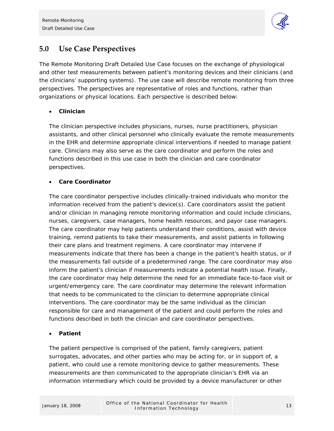

### <span id="page-15-0"></span>**5.0 Use Case Perspectives**

The Remote Monitoring Draft Detailed Use Case focuses on the exchange of physiological and other test measurements between patient's monitoring devices and their clinicians (and the clinicians' supporting systems). The use case will describe remote monitoring from three perspectives. The perspectives are representative of roles and functions, rather than organizations or physical locations. Each perspective is described below:

### • **Clinician**

The clinician perspective includes physicians, nurses, nurse practitioners, physician assistants, and other clinical personnel who clinically evaluate the remote measurements in the EHR and determine appropriate clinical interventions if needed to manage patient care. Clinicians may also serve as the care coordinator and perform the roles and functions described in this use case in both the clinician and care coordinator perspectives.

### • **Care Coordinator**

The care coordinator perspective includes clinically-trained individuals who monitor the information received from the patient's device(s). Care coordinators assist the patient and/or clinician in managing remote monitoring information and could include clinicians, nurses, caregivers, case managers, home health resources, and payor case managers. The care coordinator may help patients understand their conditions, assist with device training, remind patients to take their measurements, and assist patients in following their care plans and treatment regimens. A care coordinator may intervene if measurements indicate that there has been a change in the patient's health status, or if the measurements fall outside of a predetermined range. The care coordinator may also inform the patient's clinician if measurements indicate a potential health issue. Finally, the care coordinator may help determine the need for an immediate face-to-face visit or urgent/emergency care. The care coordinator may determine the relevant information that needs to be communicated to the clinician to determine appropriate clinical interventions. The care coordinator may be the same individual as the clinician responsible for care and management of the patient and could perform the roles and functions described in both the clinician and care coordinator perspectives.

### • **Patient**

The patient perspective is comprised of the patient, family caregivers, patient surrogates, advocates, and other parties who may be acting for, or in support of, a patient, who could use a remote monitoring device to gather measurements. These measurements are then communicated to the appropriate clinician's EHR via an information intermediary which could be provided by a device manufacturer or other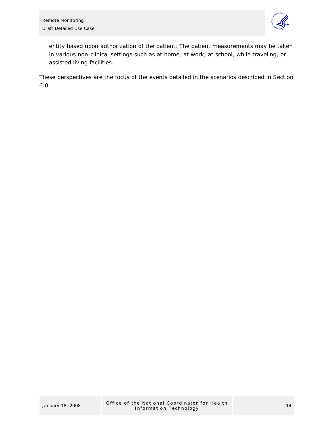

entity based upon authorization of the patient. The patient measurements may be taken in various non-clinical settings such as at home, at work, at school, while traveling, or assisted living facilities.

These perspectives are the focus of the events detailed in the scenarios described in Section 6.0.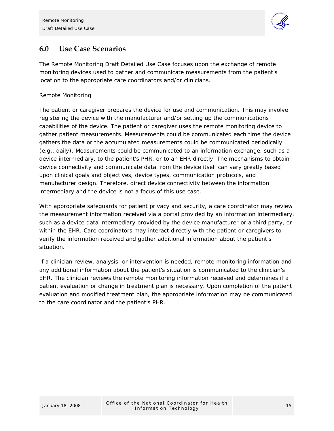

### <span id="page-17-0"></span>**6.0 Use Case Scenarios**

The Remote Monitoring Draft Detailed Use Case focuses upon the exchange of remote monitoring devices used to gather and communicate measurements from the patient's location to the appropriate care coordinators and/or clinicians.

#### Remote Monitoring

The patient or caregiver prepares the device for use and communication. This may involve registering the device with the manufacturer and/or setting up the communications capabilities of the device. The patient or caregiver uses the remote monitoring device to gather patient measurements. Measurements could be communicated each time the device gathers the data or the accumulated measurements could be communicated periodically (e.g., daily). Measurements could be communicated to an information exchange, such as a device intermediary, to the patient's PHR, or to an EHR directly. The mechanisms to obtain device connectivity and communicate data from the device itself can vary greatly based upon clinical goals and objectives, device types, communication protocols, and manufacturer design. Therefore, direct device connectivity between the information intermediary and the device is not a focus of this use case.

With appropriate safeguards for patient privacy and security, a care coordinator may review the measurement information received via a portal provided by an information intermediary, such as a device data intermediary provided by the device manufacturer or a third party, or within the EHR. Care coordinators may interact directly with the patient or caregivers to verify the information received and gather additional information about the patient's situation.

If a clinician review, analysis, or intervention is needed, remote monitoring information and any additional information about the patient's situation is communicated to the clinician's EHR. The clinician reviews the remote monitoring information received and determines if a patient evaluation or change in treatment plan is necessary. Upon completion of the patient evaluation and modified treatment plan, the appropriate information may be communicated to the care coordinator and the patient's PHR.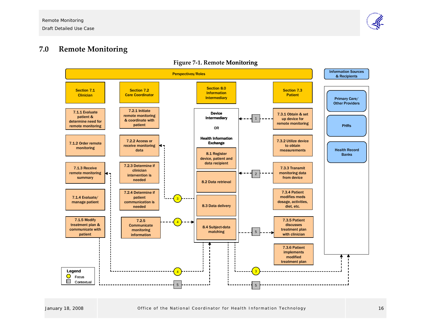

<span id="page-18-0"></span>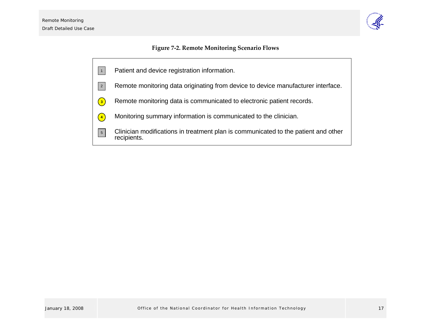<span id="page-19-0"></span>5



### **Figure <sup>7</sup>‐2. Remote Monitoring Scenario Flows**

- Patient and device registration information. 1
- Remote monitoring data originating from device to device manufacturer interface. 2
- Remote monitoring data is communicated to electronic patient records. **3**
- Monitoring summary information is communicated to the clinician. **4**
	- Clinician modifications in treatment plan is communicated to the patient and other recipients.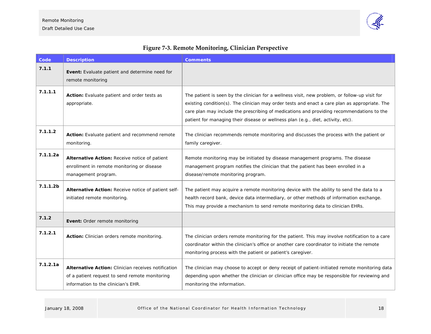

|  |  | Figure 7-3. Remote Monitoring, Clinician Perspective |
|--|--|------------------------------------------------------|
|  |  |                                                      |

<span id="page-20-0"></span>

| Code                 | <b>Description</b>                                                                                                                           | <b>Comments</b>                                                                                                                                                                                                                                                                                                                                                                   |
|----------------------|----------------------------------------------------------------------------------------------------------------------------------------------|-----------------------------------------------------------------------------------------------------------------------------------------------------------------------------------------------------------------------------------------------------------------------------------------------------------------------------------------------------------------------------------|
| 7.1.1                | <b>Event:</b> Evaluate patient and determine need for<br>remote monitoring                                                                   |                                                                                                                                                                                                                                                                                                                                                                                   |
| 7.1.1.1              | Action: Evaluate patient and order tests as<br>appropriate.                                                                                  | The patient is seen by the clinician for a wellness visit, new problem, or follow-up visit for<br>existing condition(s). The clinician may order tests and enact a care plan as appropriate. The<br>care plan may include the prescribing of medications and providing recommendations to the<br>patient for managing their disease or wellness plan (e.g., diet, activity, etc). |
| 7.1.1.2              | Action: Evaluate patient and recommend remote<br>monitoring.                                                                                 | The clinician recommends remote monitoring and discusses the process with the patient or<br>family caregiver.                                                                                                                                                                                                                                                                     |
| 7.1.1.2a             | Alternative Action: Receive notice of patient<br>enrollment in remote monitoring or disease<br>management program.                           | Remote monitoring may be initiated by disease management programs. The disease<br>management program notifies the clinician that the patient has been enrolled in a<br>disease/remote monitoring program.                                                                                                                                                                         |
| 7.1.1.2 <sub>b</sub> | Alternative Action: Receive notice of patient self-<br>initiated remote monitoring.                                                          | The patient may acquire a remote monitoring device with the ability to send the data to a<br>health record bank, device data intermediary, or other methods of information exchange.<br>This may provide a mechanism to send remote monitoring data to clinician EHRs.                                                                                                            |
| 7.1.2                | Event: Order remote monitoring                                                                                                               |                                                                                                                                                                                                                                                                                                                                                                                   |
| 7.1.2.1              | Action: Clinician orders remote monitoring.                                                                                                  | The clinician orders remote monitoring for the patient. This may involve notification to a care<br>coordinator within the clinician's office or another care coordinator to initiate the remote<br>monitoring process with the patient or patient's caregiver.                                                                                                                    |
| 7.1.2.1a             | Alternative Action: Clinician receives notification<br>of a patient request to send remote monitoring<br>information to the clinician's EHR. | The clinician may choose to accept or deny receipt of patient-initiated remote monitoring data<br>depending upon whether the clinician or clinician office may be responsible for reviewing and<br>monitoring the information.                                                                                                                                                    |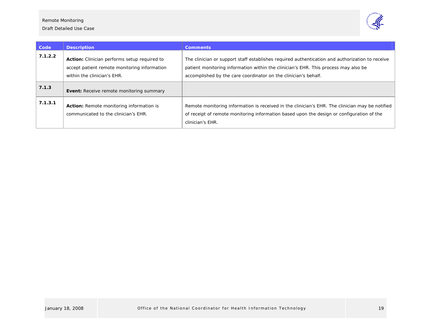

| Code    | <b>Description</b>                                                                                                                 | <b>Comments</b>                                                                                                                                                                                                                                           |
|---------|------------------------------------------------------------------------------------------------------------------------------------|-----------------------------------------------------------------------------------------------------------------------------------------------------------------------------------------------------------------------------------------------------------|
| 7.1.2.2 | <b>Action:</b> Clinician performs setup required to<br>accept patient remote monitoring information<br>within the clinician's EHR. | The clinician or support staff establishes required authentication and authorization to receive<br>patient monitoring information within the clinician's EHR. This process may also be<br>accomplished by the care coordinator on the clinician's behalf. |
| 7.1.3   | <b>Event:</b> Receive remote monitoring summary                                                                                    |                                                                                                                                                                                                                                                           |
| 7.1.3.1 | <b>Action:</b> Remote monitoring information is<br>communicated to the clinician's EHR.                                            | Remote monitoring information is received in the clinician's EHR. The clinician may be notified<br>of receipt of remote monitoring information based upon the design or configuration of the<br>clinician's EHR.                                          |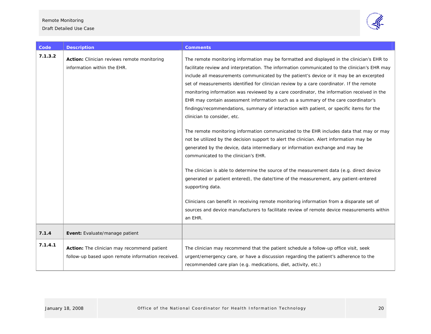

| Code    | <b>Description</b>                                                                               | <b>Comments</b>                                                                                                                                                                                                                                                                                                                                                                                                                                                                                                                                                                                                                                                                                                                                                                                                                                                                                                                                                                                                                                                                                                                                                                                                                                                                                                                                                                                                                  |
|---------|--------------------------------------------------------------------------------------------------|----------------------------------------------------------------------------------------------------------------------------------------------------------------------------------------------------------------------------------------------------------------------------------------------------------------------------------------------------------------------------------------------------------------------------------------------------------------------------------------------------------------------------------------------------------------------------------------------------------------------------------------------------------------------------------------------------------------------------------------------------------------------------------------------------------------------------------------------------------------------------------------------------------------------------------------------------------------------------------------------------------------------------------------------------------------------------------------------------------------------------------------------------------------------------------------------------------------------------------------------------------------------------------------------------------------------------------------------------------------------------------------------------------------------------------|
| 7.1.3.2 | Action: Clinician reviews remote monitoring<br>information within the EHR.                       | The remote monitoring information may be formatted and displayed in the clinician's EHR to<br>facilitate review and interpretation. The information communicated to the clinician's EHR may<br>include all measurements communicated by the patient's device or it may be an excerpted<br>set of measurements identified for clinician review by a care coordinator. If the remote<br>monitoring information was reviewed by a care coordinator, the information received in the<br>EHR may contain assessment information such as a summary of the care coordinator's<br>findings/recommendations, summary of interaction with patient, or specific items for the<br>clinician to consider, etc.<br>The remote monitoring information communicated to the EHR includes data that may or may<br>not be utilized by the decision support to alert the clinician. Alert information may be<br>generated by the device, data intermediary or information exchange and may be<br>communicated to the clinician's EHR.<br>The clinician is able to determine the source of the measurement data (e.g. direct device<br>generated or patient entered), the date/time of the measurement, any patient-entered<br>supporting data.<br>Clinicians can benefit in receiving remote monitoring information from a disparate set of<br>sources and device manufacturers to facilitate review of remote device measurements within<br>an EHR. |
| 7.1.4   | Event: Evaluate/manage patient                                                                   |                                                                                                                                                                                                                                                                                                                                                                                                                                                                                                                                                                                                                                                                                                                                                                                                                                                                                                                                                                                                                                                                                                                                                                                                                                                                                                                                                                                                                                  |
| 7.1.4.1 | Action: The clinician may recommend patient<br>follow-up based upon remote information received. | The clinician may recommend that the patient schedule a follow-up office visit, seek<br>urgent/emergency care, or have a discussion regarding the patient's adherence to the<br>recommended care plan (e.g. medications, diet, activity, etc.)                                                                                                                                                                                                                                                                                                                                                                                                                                                                                                                                                                                                                                                                                                                                                                                                                                                                                                                                                                                                                                                                                                                                                                                   |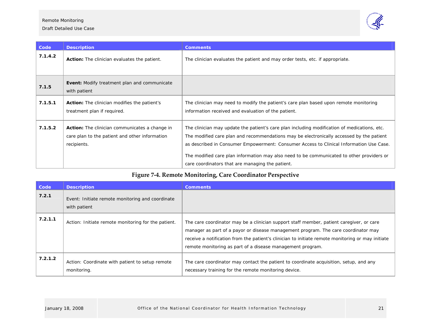Draft Detailed Use Case



| Code    | <b>Description</b>                                                                                                     | <b>Comments</b>                                                                                                                                                                                                                                                                                                                                                                                                                      |
|---------|------------------------------------------------------------------------------------------------------------------------|--------------------------------------------------------------------------------------------------------------------------------------------------------------------------------------------------------------------------------------------------------------------------------------------------------------------------------------------------------------------------------------------------------------------------------------|
| 7.1.4.2 | <b>Action:</b> The clinician evaluates the patient.                                                                    | The clinician evaluates the patient and may order tests, etc. if appropriate.                                                                                                                                                                                                                                                                                                                                                        |
| 7.1.5   | <b>Event:</b> Modify treatment plan and communicate<br>with patient                                                    |                                                                                                                                                                                                                                                                                                                                                                                                                                      |
| 7.1.5.1 | <b>Action:</b> The clinician modifies the patient's<br>treatment plan if required.                                     | The clinician may need to modify the patient's care plan based upon remote monitoring<br>information received and evaluation of the patient.                                                                                                                                                                                                                                                                                         |
| 7.1.5.2 | <b>Action:</b> The clinician communicates a change in<br>care plan to the patient and other information<br>recipients. | The clinician may update the patient's care plan including modification of medications, etc.<br>The modified care plan and recommendations may be electronically accessed by the patient<br>as described in Consumer Empowerment: Consumer Access to Clinical Information Use Case.<br>The modified care plan information may also need to be communicated to other providers or<br>care coordinators that are managing the patient. |

### **Figure <sup>7</sup>‐4. Remote Monitoring, Care Coordinator Perspective**

<span id="page-23-0"></span>

| Code    | <b>Description</b>                                               | <b>Comments</b>                                                                                                                                                                                                                                                                                                                                   |
|---------|------------------------------------------------------------------|---------------------------------------------------------------------------------------------------------------------------------------------------------------------------------------------------------------------------------------------------------------------------------------------------------------------------------------------------|
| 7.2.1   | Event: Initiate remote monitoring and coordinate<br>with patient |                                                                                                                                                                                                                                                                                                                                                   |
| 7.2.1.1 | Action: Initiate remote monitoring for the patient.              | The care coordinator may be a clinician support staff member, patient caregiver, or care<br>manager as part of a payor or disease management program. The care coordinator may<br>receive a notification from the patient's clinician to initiate remote monitoring or may initiate<br>remote monitoring as part of a disease management program. |
| 7.2.1.2 | Action: Coordinate with patient to setup remote<br>monitoring.   | The care coordinator may contact the patient to coordinate acquisition, setup, and any<br>necessary training for the remote monitoring device.                                                                                                                                                                                                    |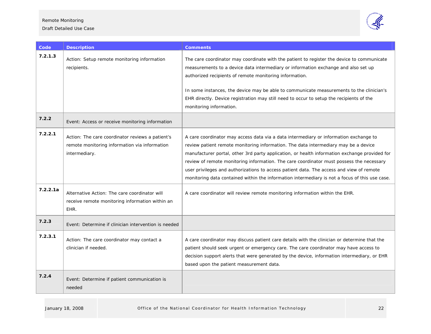

| Code                | <b>Description</b>                                                                                                                                                  | <b>Comments</b>                                                                                                                                                                                                                                                                                                                                                                                                                                                                                                                                                                                                                                         |
|---------------------|---------------------------------------------------------------------------------------------------------------------------------------------------------------------|---------------------------------------------------------------------------------------------------------------------------------------------------------------------------------------------------------------------------------------------------------------------------------------------------------------------------------------------------------------------------------------------------------------------------------------------------------------------------------------------------------------------------------------------------------------------------------------------------------------------------------------------------------|
| 7.2.1.3             | Action: Setup remote monitoring information<br>recipients.                                                                                                          | The care coordinator may coordinate with the patient to register the device to communicate<br>measurements to a device data intermediary or information exchange and also set up<br>authorized recipients of remote monitoring information.<br>In some instances, the device may be able to communicate measurements to the clinician's<br>EHR directly. Device registration may still need to occur to setup the recipients of the<br>monitoring information.                                                                                                                                                                                          |
| 7.2.2               | Event: Access or receive monitoring information                                                                                                                     |                                                                                                                                                                                                                                                                                                                                                                                                                                                                                                                                                                                                                                                         |
| 7.2.2.1<br>7.2.2.1a | Action: The care coordinator reviews a patient's<br>remote monitoring information via information<br>intermediary.<br>Alternative Action: The care coordinator will | A care coordinator may access data via a data intermediary or information exchange to<br>review patient remote monitoring information. The data intermediary may be a device<br>manufacturer portal, other 3rd party application, or health information exchange provided for<br>review of remote monitoring information. The care coordinator must possess the necessary<br>user privileges and authorizations to access patient data. The access and view of remote<br>monitoring data contained within the information intermediary is not a focus of this use case.<br>A care coordinator will review remote monitoring information within the EHR. |
|                     | receive remote monitoring information within an<br>EHR.                                                                                                             |                                                                                                                                                                                                                                                                                                                                                                                                                                                                                                                                                                                                                                                         |
| 7.2.3               | Event: Determine if clinician intervention is needed                                                                                                                |                                                                                                                                                                                                                                                                                                                                                                                                                                                                                                                                                                                                                                                         |
| 7.2.3.1             | Action: The care coordinator may contact a<br>clinician if needed.                                                                                                  | A care coordinator may discuss patient care details with the clinician or determine that the<br>patient should seek urgent or emergency care. The care coordinator may have access to<br>decision support alerts that were generated by the device, information intermediary, or EHR<br>based upon the patient measurement data.                                                                                                                                                                                                                                                                                                                        |
| 7.2.4               | Event: Determine if patient communication is<br>needed                                                                                                              |                                                                                                                                                                                                                                                                                                                                                                                                                                                                                                                                                                                                                                                         |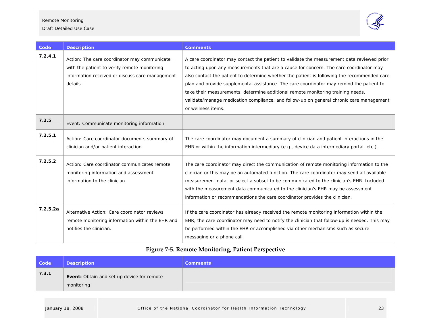

| Code     | <b>Description</b>                                                                                                                                          | <b>Comments</b>                                                                                                                                                                                                                                                                                                                                                                                                                                                                                                                                                                     |
|----------|-------------------------------------------------------------------------------------------------------------------------------------------------------------|-------------------------------------------------------------------------------------------------------------------------------------------------------------------------------------------------------------------------------------------------------------------------------------------------------------------------------------------------------------------------------------------------------------------------------------------------------------------------------------------------------------------------------------------------------------------------------------|
| 7.2.4.1  | Action: The care coordinator may communicate<br>with the patient to verify remote monitoring<br>information received or discuss care management<br>details. | A care coordinator may contact the patient to validate the measurement data reviewed prior<br>to acting upon any measurements that are a cause for concern. The care coordinator may<br>also contact the patient to determine whether the patient is following the recommended care<br>plan and provide supplemental assistance. The care coordinator may remind the patient to<br>take their measurements, determine additional remote monitoring training needs,<br>validate/manage medication compliance, and follow-up on general chronic care management<br>or wellness items. |
| 7.2.5    | Event: Communicate monitoring information                                                                                                                   |                                                                                                                                                                                                                                                                                                                                                                                                                                                                                                                                                                                     |
| 7.2.5.1  | Action: Care coordinator documents summary of<br>clinician and/or patient interaction.                                                                      | The care coordinator may document a summary of clinician and patient interactions in the<br>EHR or within the information intermediary (e.g., device data intermediary portal, etc.).                                                                                                                                                                                                                                                                                                                                                                                               |
| 7.2.5.2  | Action: Care coordinator communicates remote<br>monitoring information and assessment<br>information to the clinician.                                      | The care coordinator may direct the communication of remote monitoring information to the<br>clinician or this may be an automated function. The care coordinator may send all available<br>measurement data, or select a subset to be communicated to the clinician's EHR. Included<br>with the measurement data communicated to the clinician's EHR may be assessment<br>information or recommendations the care coordinator provides the clinician.                                                                                                                              |
| 7.2.5.2a | Alternative Action: Care coordinator reviews<br>remote monitoring information within the EHR and<br>notifies the clinician.                                 | If the care coordinator has already received the remote monitoring information within the<br>EHR, the care coordinator may need to notify the clinician that follow-up is needed. This may<br>be performed within the EHR or accomplished via other mechanisms such as secure<br>messaging or a phone call.                                                                                                                                                                                                                                                                         |

### **Figure <sup>7</sup>‐5. Remote Monitoring, Patient Perspective**

<span id="page-25-0"></span>

| Code  | <b>Description</b>                                       | <b>Comments</b> |
|-------|----------------------------------------------------------|-----------------|
| 7.3.1 | Event: Obtain and set up device for remote<br>monitoring |                 |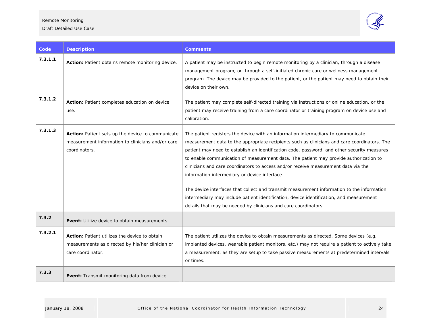

| Code    | <b>Description</b>                                                                                                      | <b>Comments</b>                                                                                                                                                                                                                                                                                                                                                                                                                                                                                                                                                                                                                                                                                                                                                             |
|---------|-------------------------------------------------------------------------------------------------------------------------|-----------------------------------------------------------------------------------------------------------------------------------------------------------------------------------------------------------------------------------------------------------------------------------------------------------------------------------------------------------------------------------------------------------------------------------------------------------------------------------------------------------------------------------------------------------------------------------------------------------------------------------------------------------------------------------------------------------------------------------------------------------------------------|
| 7.3.1.1 | Action: Patient obtains remote monitoring device.                                                                       | A patient may be instructed to begin remote monitoring by a clinician, through a disease<br>management program, or through a self-initiated chronic care or wellness management<br>program. The device may be provided to the patient, or the patient may need to obtain their<br>device on their own.                                                                                                                                                                                                                                                                                                                                                                                                                                                                      |
| 7.3.1.2 | Action: Patient completes education on device<br>use.                                                                   | The patient may complete self-directed training via instructions or online education, or the<br>patient may receive training from a care coordinator or training program on device use and<br>calibration.                                                                                                                                                                                                                                                                                                                                                                                                                                                                                                                                                                  |
| 7.3.1.3 | Action: Patient sets up the device to communicate<br>measurement information to clinicians and/or care<br>coordinators. | The patient registers the device with an information intermediary to communicate<br>measurement data to the appropriate recipients such as clinicians and care coordinators. The<br>patient may need to establish an identification code, password, and other security measures<br>to enable communication of measurement data. The patient may provide authorization to<br>clinicians and care coordinators to access and/or receive measurement data via the<br>information intermediary or device interface.<br>The device interfaces that collect and transmit measurement information to the information<br>intermediary may include patient identification, device identification, and measurement<br>details that may be needed by clinicians and care coordinators. |
| 7.3.2   | <b>Event:</b> Utilize device to obtain measurements                                                                     |                                                                                                                                                                                                                                                                                                                                                                                                                                                                                                                                                                                                                                                                                                                                                                             |
| 7.3.2.1 | Action: Patient utilizes the device to obtain<br>measurements as directed by his/her clinician or<br>care coordinator.  | The patient utilizes the device to obtain measurements as directed. Some devices (e.g.<br>implanted devices, wearable patient monitors, etc.) may not require a patient to actively take<br>a measurement, as they are setup to take passive measurements at predetermined intervals<br>or times.                                                                                                                                                                                                                                                                                                                                                                                                                                                                           |
| 7.3.3   | Event: Transmit monitoring data from device                                                                             |                                                                                                                                                                                                                                                                                                                                                                                                                                                                                                                                                                                                                                                                                                                                                                             |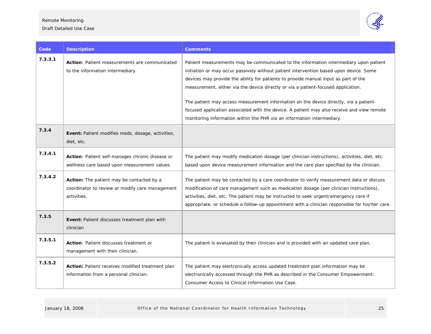

| Code    | <b>Description</b>                                                                                          | <b>Comments</b>                                                                                                                                                                                                                                                                                                                                                                                                                                                                                                                                                                                                              |
|---------|-------------------------------------------------------------------------------------------------------------|------------------------------------------------------------------------------------------------------------------------------------------------------------------------------------------------------------------------------------------------------------------------------------------------------------------------------------------------------------------------------------------------------------------------------------------------------------------------------------------------------------------------------------------------------------------------------------------------------------------------------|
| 7.3.3.1 | Action: Patient measurements are communicated<br>to the information intermediary.                           | Patient measurements may be communicated to the information intermediary upon patient<br>initiation or may occur passively without patient intervention based upon device. Some<br>devices may provide the ability for patients to provide manual input as part of the<br>measurement, either via the device directly or via a patient-focused application.<br>The patient may access measurement information on the device directly, via a patient-<br>focused application associated with the device. A patient may also receive and view remote<br>monitoring information within the PHR via an information intermediary. |
| 7.3.4   | Event: Patient modifies meds, dosage, activities,<br>diet, etc.                                             |                                                                                                                                                                                                                                                                                                                                                                                                                                                                                                                                                                                                                              |
| 7.3.4.1 | Action: Patient self-manages chronic disease or<br>wellness care based upon measurement values.             | The patient may modify medication dosage (per clinician instructions), activities, diet, etc.<br>based upon device measurement information and the care plan specified by the clinician.                                                                                                                                                                                                                                                                                                                                                                                                                                     |
| 7.3.4.2 | Action: The patient may be contacted by a<br>coordinator to review or modify care management<br>activities. | The patient may be contacted by a care coordinator to verify measurement data or discuss<br>modification of care management such as medication dosage (per clinician instructions),<br>activities, diet, etc. The patient may be instructed to seek urgent/emergency care if<br>appropriate, or schedule a follow-up appointment with a clinician responsible for his/her care.                                                                                                                                                                                                                                              |
| 7.3.5   | Event: Patient discusses treatment plan with<br>clinician                                                   |                                                                                                                                                                                                                                                                                                                                                                                                                                                                                                                                                                                                                              |
| 7.3.5.1 | Action: Patient discusses treatment or<br>management with their clinician.                                  | The patient is evaluated by their clinician and is provided with an updated care plan.                                                                                                                                                                                                                                                                                                                                                                                                                                                                                                                                       |
| 7.3.5.2 | Action: Patient receives modified treatment plan<br>information from a personal clinician.                  | The patient may electronically access updated treatment plan information may be<br>electronically accessed through the PHR as described in the Consumer Empowerment:<br>Consumer Access to Clinical Information Use Case.                                                                                                                                                                                                                                                                                                                                                                                                    |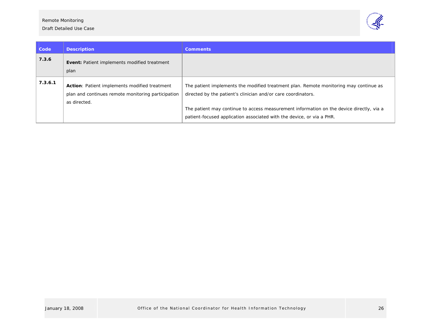÷,



| Code    | <b>Description</b>                                                                                                         | <b>Comments</b>                                                                                                                                                                                                                                                                                                             |
|---------|----------------------------------------------------------------------------------------------------------------------------|-----------------------------------------------------------------------------------------------------------------------------------------------------------------------------------------------------------------------------------------------------------------------------------------------------------------------------|
| 7.3.6   | <b>Event:</b> Patient implements modified treatment<br>plan                                                                |                                                                                                                                                                                                                                                                                                                             |
| 7.3.6.1 | <b>Action:</b> Patient implements modified treatment<br>plan and continues remote monitoring participation<br>as directed. | The patient implements the modified treatment plan. Remote monitoring may continue as<br>directed by the patient's clinician and/or care coordinators.<br>The patient may continue to access measurement information on the device directly, via a<br>patient-focused application associated with the device, or via a PHR. |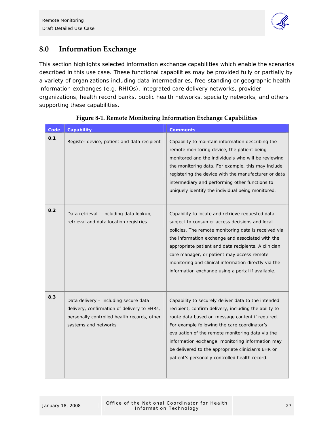

## <span id="page-29-0"></span>**8.0 Information Exchange**

This section highlights selected information exchange capabilities which enable the scenarios described in this use case. These functional capabilities may be provided fully or partially by a variety of organizations including data intermediaries, free-standing or geographic health information exchanges (e.g. RHIOs), integrated care delivery networks, provider organizations, health record banks, public health networks, specialty networks, and others supporting these capabilities.

| Code | <b>Capability</b>                                                                                                                                           | <b>Comments</b>                                                                                                                                                                                                                                                                                                                                                                                                                    |
|------|-------------------------------------------------------------------------------------------------------------------------------------------------------------|------------------------------------------------------------------------------------------------------------------------------------------------------------------------------------------------------------------------------------------------------------------------------------------------------------------------------------------------------------------------------------------------------------------------------------|
| 8.1  | Register device, patient and data recipient                                                                                                                 | Capability to maintain information describing the<br>remote monitoring device, the patient being<br>monitored and the individuals who will be reviewing<br>the monitoring data. For example, this may include<br>registering the device with the manufacturer or data<br>intermediary and performing other functions to<br>uniquely identify the individual being monitored.                                                       |
| 8.2  | Data retrieval - including data lookup,<br>retrieval and data location registries                                                                           | Capability to locate and retrieve requested data<br>subject to consumer access decisions and local<br>policies. The remote monitoring data is received via<br>the information exchange and associated with the<br>appropriate patient and data recipients. A clinician,<br>care manager, or patient may access remote<br>monitoring and clinical information directly via the<br>information exchange using a portal if available. |
| 8.3  | Data delivery - including secure data<br>delivery, confirmation of delivery to EHRs,<br>personally controlled health records, other<br>systems and networks | Capability to securely deliver data to the intended<br>recipient, confirm delivery, including the ability to<br>route data based on message content if required.<br>For example following the care coordinator's<br>evaluation of the remote monitoring data via the<br>information exchange, monitoring information may<br>be delivered to the appropriate clinician's EHR or<br>patient's personally controlled health record.   |

### **Figure 8‐1. Remote Monitoring Information Exchange Capabilities**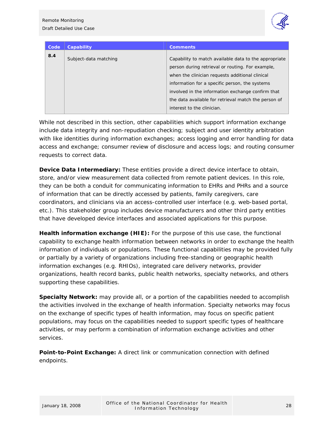

| Code | <b>Capability</b>     | <b>Comments</b>                                                                                                                                                                                                                                                                                                                                           |
|------|-----------------------|-----------------------------------------------------------------------------------------------------------------------------------------------------------------------------------------------------------------------------------------------------------------------------------------------------------------------------------------------------------|
| 8.4  | Subject-data matching | Capability to match available data to the appropriate<br>person during retrieval or routing. For example,<br>when the clinician requests additional clinical<br>information for a specific person, the systems<br>involved in the information exchange confirm that<br>the data available for retrieval match the person of<br>interest to the clinician. |

While not described in this section, other capabilities which support information exchange include data integrity and non-repudiation checking; subject and user identity arbitration with like identities during information exchanges; access logging and error handling for data access and exchange; consumer review of disclosure and access logs; and routing consumer requests to correct data.

**Device Data Intermediary:** These entities provide a direct device interface to obtain, store, and/or view measurement data collected from remote patient devices. In this role, they can be both a conduit for communicating information to EHRs and PHRs and a source of information that can be directly accessed by patients, family caregivers, care coordinators, and clinicians via an access-controlled user interface (e.g. web-based portal, etc.). This stakeholder group includes device manufacturers and other third party entities that have developed device interfaces and associated applications for this purpose.

**Health information exchange (HIE):** For the purpose of this use case, the functional capability to exchange health information between networks in order to exchange the health information of individuals or populations. These functional capabilities may be provided fully or partially by a variety of organizations including free-standing or geographic health information exchanges (e.g. RHIOs), integrated care delivery networks, provider organizations, health record banks, public health networks, specialty networks, and others supporting these capabilities.

**Specialty Network:** may provide all, or a portion of the capabilities needed to accomplish the activities involved in the exchange of health information. Specialty networks may focus on the exchange of specific types of health information, may focus on specific patient populations, may focus on the capabilities needed to support specific types of healthcare activities, or may perform a combination of information exchange activities and other services.

**Point-to-Point Exchange:** A direct link or communication connection with defined endpoints.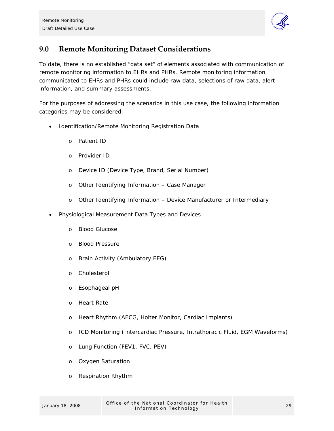

## <span id="page-31-0"></span>**9.0 Remote Monitoring Dataset Considerations**

To date, there is no established "data set" of elements associated with communication of remote monitoring information to EHRs and PHRs. Remote monitoring information communicated to EHRs and PHRs could include raw data, selections of raw data, alert information, and summary assessments.

For the purposes of addressing the scenarios in this use case, the following information categories may be considered:

- Identification/Remote Monitoring Registration Data
	- o Patient ID
	- o Provider ID
	- o Device ID (Device Type, Brand, Serial Number)
	- o Other Identifying Information Case Manager
	- o Other Identifying Information Device Manufacturer or Intermediary
- Physiological Measurement Data Types and Devices
	- o Blood Glucose
	- o Blood Pressure
	- o Brain Activity (Ambulatory EEG)
	- o Cholesterol
	- o Esophageal pH
	- o Heart Rate
	- o Heart Rhythm (AECG, Holter Monitor, Cardiac Implants)
	- o ICD Monitoring (Intercardiac Pressure, Intrathoracic Fluid, EGM Waveforms)
	- o Lung Function (FEV1, FVC, PEV)
	- o Oxygen Saturation
	- o Respiration Rhythm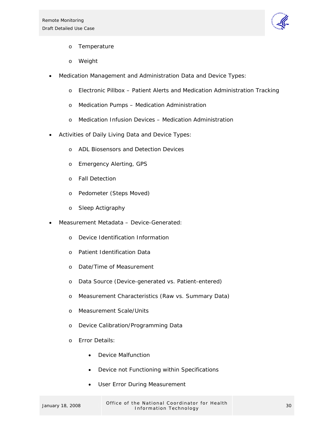

- o Temperature
- o Weight
- Medication Management and Administration Data and Device Types:
	- o Electronic Pillbox Patient Alerts and Medication Administration Tracking
	- o Medication Pumps Medication Administration
	- o Medication Infusion Devices Medication Administration
- Activities of Daily Living Data and Device Types:
	- o ADL Biosensors and Detection Devices
	- o Emergency Alerting, GPS
	- o Fall Detection
	- o Pedometer (Steps Moved)
	- o Sleep Actigraphy
- Measurement Metadata Device-Generated:
	- o Device Identification Information
	- o Patient Identification Data
	- o Date/Time of Measurement
	- o Data Source (Device-generated vs. Patient-entered)
	- o Measurement Characteristics (Raw vs. Summary Data)
	- o Measurement Scale/Units
	- o Device Calibration/Programming Data
	- o Error Details:
		- Device Malfunction
		- Device not Functioning within Specifications
		- User Error During Measurement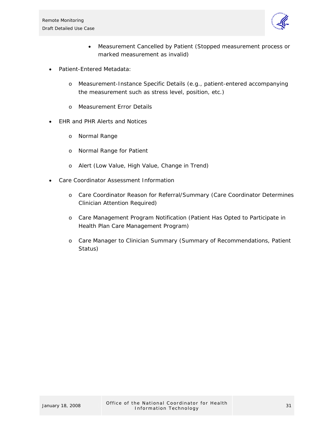

- Measurement Cancelled by Patient (Stopped measurement process or marked measurement as invalid)
- Patient-Entered Metadata:
	- o Measurement-Instance Specific Details (e.g., patient-entered accompanying the measurement such as stress level, position, etc.)
	- o Measurement Error Details
- EHR and PHR Alerts and Notices
	- o Normal Range
	- o Normal Range for Patient
	- o Alert (Low Value, High Value, Change in Trend)
- Care Coordinator Assessment Information
	- o Care Coordinator Reason for Referral/Summary (Care Coordinator Determines Clinician Attention Required)
	- o Care Management Program Notification (Patient Has Opted to Participate in Health Plan Care Management Program)
	- o Care Manager to Clinician Summary (Summary of Recommendations, Patient Status)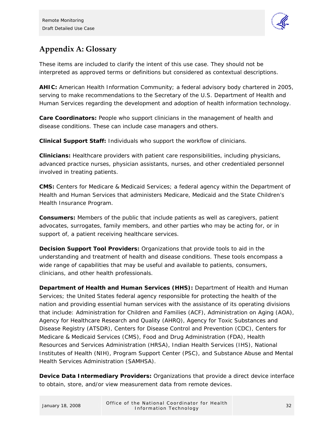

# <span id="page-34-0"></span>**Appendix A: Glossary**

These items are included to clarify the intent of this use case. They should not be interpreted as approved terms or definitions but considered as contextual descriptions.

**AHIC:** American Health Information Community; a federal advisory body chartered in 2005, serving to make recommendations to the Secretary of the U.S. Department of Health and Human Services regarding the development and adoption of health information technology.

**Care Coordinators:** People who support clinicians in the management of health and disease conditions. These can include case managers and others.

**Clinical Support Staff:** Individuals who support the workflow of clinicians.

**Clinicians:** Healthcare providers with patient care responsibilities, including physicians, advanced practice nurses, physician assistants, nurses, and other credentialed personnel involved in treating patients.

**CMS:** Centers for Medicare & Medicaid Services; a federal agency within the Department of Health and Human Services that administers Medicare, Medicaid and the State Children's Health Insurance Program.

**Consumers:** Members of the public that include patients as well as caregivers, patient advocates, surrogates, family members, and other parties who may be acting for, or in support of, a patient receiving healthcare services.

**Decision Support Tool Providers:** Organizations that provide tools to aid in the understanding and treatment of health and disease conditions. These tools encompass a wide range of capabilities that may be useful and available to patients, consumers, clinicians, and other health professionals.

**Department of Health and Human Services (HHS):** Department of Health and Human Services; the United States federal agency responsible for protecting the health of the nation and providing essential human services with the assistance of its operating divisions that include: Administration for Children and Families (ACF), Administration on Aging (AOA), Agency for Healthcare Research and Quality (AHRQ), Agency for Toxic Substances and Disease Registry (ATSDR), Centers for Disease Control and Prevention (CDC), Centers for Medicare & Medicaid Services (CMS), Food and Drug Administration (FDA), Health Resources and Services Administration (HRSA), Indian Health Services (IHS), National Institutes of Health (NIH), Program Support Center (PSC), and Substance Abuse and Mental Health Services Administration (SAMHSA).

**Device Data Intermediary Providers:** Organizations that provide a direct device interface to obtain, store, and/or view measurement data from remote devices.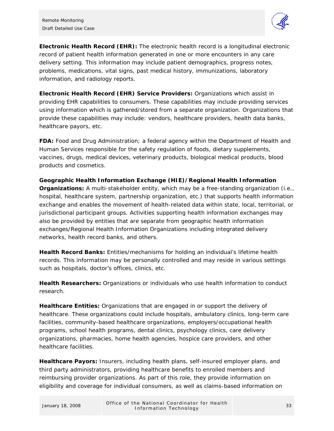

**Electronic Health Record (EHR):** The electronic health record is a longitudinal electronic record of patient health information generated in one or more encounters in any care delivery setting. This information may include patient demographics, progress notes, problems, medications, vital signs, past medical history, immunizations, laboratory information, and radiology reports.

**Electronic Health Record (EHR) Service Providers:** Organizations which assist in providing EHR capabilities to consumers. These capabilities may include providing services using information which is gathered/stored from a separate organization. Organizations that provide these capabilities may include: vendors, healthcare providers, health data banks, healthcare payors, etc.

**FDA:** Food and Drug Administration; a federal agency within the Department of Health and Human Services responsible for the safety regulation of foods, dietary supplements, vaccines, drugs, medical devices, veterinary products, biological medical products, blood products and cosmetics.

**Geographic Health Information Exchange (HIE)/Regional Health Information Organizations:** A multi-stakeholder entity, which may be a free-standing organization (i.e., hospital, healthcare system, partnership organization, etc.) that supports health information exchange and enables the movement of health-related data within state, local, territorial, or jurisdictional participant groups. Activities supporting health information exchanges may also be provided by entities that are separate from geographic health information exchanges/Regional Health Information Organizations including integrated delivery networks, health record banks, and others.

**Health Record Banks:** Entities/mechanisms for holding an individual's lifetime health records. This information may be personally controlled and may reside in various settings such as hospitals, doctor's offices, clinics, etc.

**Health Researchers:** Organizations or individuals who use health information to conduct research.

**Healthcare Entities:** Organizations that are engaged in or support the delivery of healthcare. These organizations could include hospitals, ambulatory clinics, long-term care facilities, community-based healthcare organizations, employers/occupational health programs, school health programs, dental clinics, psychology clinics, care delivery organizations, pharmacies, home health agencies, hospice care providers, and other healthcare facilities.

**Healthcare Payors:** Insurers, including health plans, self-insured employer plans, and third party administrators, providing healthcare benefits to enrolled members and reimbursing provider organizations. As part of this role, they provide information on eligibility and coverage for individual consumers, as well as claims-based information on